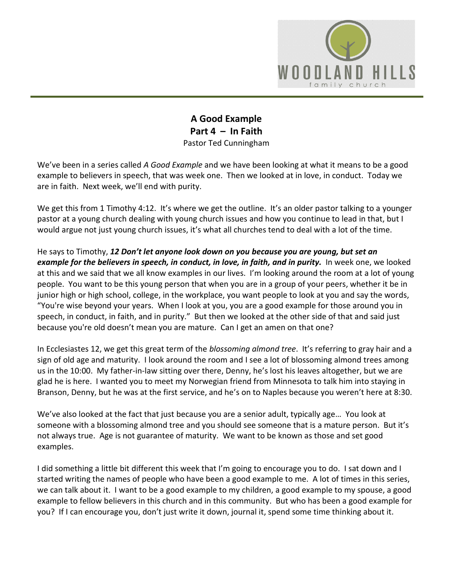

## **A Good Example Part 4 – In Faith** Pastor Ted Cunningham

We've been in a series called *A Good Example* and we have been looking at what it means to be a good example to believers in speech, that was week one. Then we looked at in love, in conduct. Today we are in faith. Next week, we'll end with purity.

We get this from 1 Timothy 4:12. It's where we get the outline. It's an older pastor talking to a younger pastor at a young church dealing with young church issues and how you continue to lead in that, but I would argue not just young church issues, it's what all churches tend to deal with a lot of the time.

He says to Timothy, *12 Don't let anyone look down on you because you are young, but set an example for the believers in speech, in conduct, in love, in faith, and in purity.* In week one, we looked at this and we said that we all know examples in our lives. I'm looking around the room at a lot of young people. You want to be this young person that when you are in a group of your peers, whether it be in junior high or high school, college, in the workplace, you want people to look at you and say the words, "You're wise beyond your years. When I look at you, you are a good example for those around you in speech, in conduct, in faith, and in purity." But then we looked at the other side of that and said just because you're old doesn't mean you are mature. Can I get an amen on that one?

In Ecclesiastes 12, we get this great term of the *blossoming almond tree*. It's referring to gray hair and a sign of old age and maturity. I look around the room and I see a lot of blossoming almond trees among us in the 10:00. My father-in-law sitting over there, Denny, he's lost his leaves altogether, but we are glad he is here. I wanted you to meet my Norwegian friend from Minnesota to talk him into staying in Branson, Denny, but he was at the first service, and he's on to Naples because you weren't here at 8:30.

We've also looked at the fact that just because you are a senior adult, typically age… You look at someone with a blossoming almond tree and you should see someone that is a mature person. But it's not always true. Age is not guarantee of maturity. We want to be known as those and set good examples.

I did something a little bit different this week that I'm going to encourage you to do. I sat down and I started writing the names of people who have been a good example to me. A lot of times in this series, we can talk about it. I want to be a good example to my children, a good example to my spouse, a good example to fellow believers in this church and in this community. But who has been a good example for you? If I can encourage you, don't just write it down, journal it, spend some time thinking about it.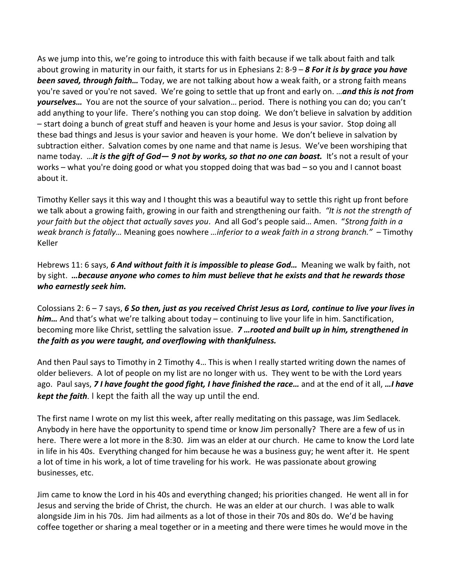As we jump into this, we're going to introduce this with faith because if we talk about faith and talk about growing in maturity in our faith, it starts for us in Ephesians 2: 8-9 – *8 For it is by grace you have been saved, through faith…* Today, we are not talking about how a weak faith, or a strong faith means you're saved or you're not saved. We're going to settle that up front and early on. …*and this is not from yourselves…* You are not the source of your salvation… period. There is nothing you can do; you can't add anything to your life. There's nothing you can stop doing. We don't believe in salvation by addition – start doing a bunch of great stuff and heaven is your home and Jesus is your savior. Stop doing all these bad things and Jesus is your savior and heaven is your home. We don't believe in salvation by subtraction either. Salvation comes by one name and that name is Jesus. We've been worshiping that name today. …*it is the gift of God— 9 not by works, so that no one can boast.* It's not a result of your works – what you're doing good or what you stopped doing that was bad – so you and I cannot boast about it.

Timothy Keller says it this way and I thought this was a beautiful way to settle this right up front before we talk about a growing faith, growing in our faith and strengthening our faith. *"It is not the strength of your faith but the object that actually saves you*. And all God's people said… Amen. "*Strong faith in a weak branch is fatally…* Meaning goes nowhere *…inferior to a weak faith in a strong branch."* – Timothy Keller

Hebrews 11: 6 says, *6 And without faith it is impossible to please God…* Meaning we walk by faith, not by sight. *…because anyone who comes to him must believe that he exists and that he rewards those who earnestly seek him.*

Colossians 2: 6 – 7 says, *6 So then, just as you received Christ Jesus as Lord, continue to live your lives in him…* And that's what we're talking about today – continuing to live your life in him. Sanctification, becoming more like Christ, settling the salvation issue. *7 …rooted and built up in him, strengthened in the faith as you were taught, and overflowing with thankfulness.*

And then Paul says to Timothy in 2 Timothy 4… This is when I really started writing down the names of older believers. A lot of people on my list are no longer with us. They went to be with the Lord years ago. Paul says, *7 I have fought the good fight, I have finished the race…* and at the end of it all, *…I have kept the faith*. I kept the faith all the way up until the end.

The first name I wrote on my list this week, after really meditating on this passage, was Jim Sedlacek. Anybody in here have the opportunity to spend time or know Jim personally? There are a few of us in here. There were a lot more in the 8:30. Jim was an elder at our church. He came to know the Lord late in life in his 40s. Everything changed for him because he was a business guy; he went after it. He spent a lot of time in his work, a lot of time traveling for his work. He was passionate about growing businesses, etc.

Jim came to know the Lord in his 40s and everything changed; his priorities changed. He went all in for Jesus and serving the bride of Christ, the church. He was an elder at our church. I was able to walk alongside Jim in his 70s. Jim had ailments as a lot of those in their 70s and 80s do. We'd be having coffee together or sharing a meal together or in a meeting and there were times he would move in the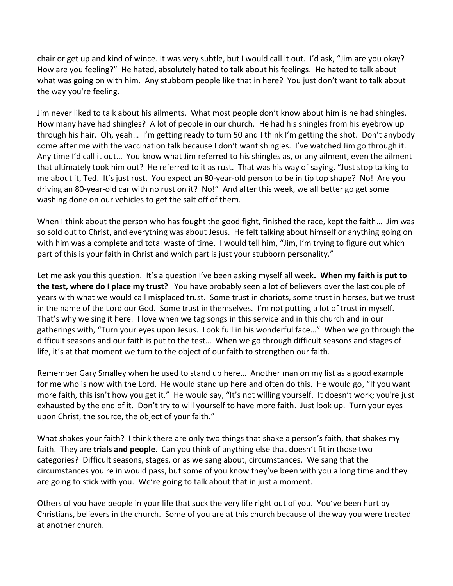chair or get up and kind of wince. It was very subtle, but I would call it out. I'd ask, "Jim are you okay? How are you feeling?" He hated, absolutely hated to talk about his feelings. He hated to talk about what was going on with him. Any stubborn people like that in here? You just don't want to talk about the way you're feeling.

Jim never liked to talk about his ailments. What most people don't know about him is he had shingles. How many have had shingles? A lot of people in our church. He had his shingles from his eyebrow up through his hair. Oh, yeah… I'm getting ready to turn 50 and I think I'm getting the shot. Don't anybody come after me with the vaccination talk because I don't want shingles. I've watched Jim go through it. Any time I'd call it out… You know what Jim referred to his shingles as, or any ailment, even the ailment that ultimately took him out? He referred to it as rust. That was his way of saying, "Just stop talking to me about it, Ted. It's just rust. You expect an 80-year-old person to be in tip top shape? No! Are you driving an 80-year-old car with no rust on it? No!" And after this week, we all better go get some washing done on our vehicles to get the salt off of them.

When I think about the person who has fought the good fight, finished the race, kept the faith… Jim was so sold out to Christ, and everything was about Jesus. He felt talking about himself or anything going on with him was a complete and total waste of time. I would tell him, "Jim, I'm trying to figure out which part of this is your faith in Christ and which part is just your stubborn personality."

Let me ask you this question. It's a question I've been asking myself all week**. When my faith is put to the test, where do I place my trust?** You have probably seen a lot of believers over the last couple of years with what we would call misplaced trust. Some trust in chariots, some trust in horses, but we trust in the name of the Lord our God. Some trust in themselves. I'm not putting a lot of trust in myself. That's why we sing it here. I love when we tag songs in this service and in this church and in our gatherings with, "Turn your eyes upon Jesus. Look full in his wonderful face…" When we go through the difficult seasons and our faith is put to the test… When we go through difficult seasons and stages of life, it's at that moment we turn to the object of our faith to strengthen our faith.

Remember Gary Smalley when he used to stand up here… Another man on my list as a good example for me who is now with the Lord. He would stand up here and often do this. He would go, "If you want more faith, this isn't how you get it." He would say, "It's not willing yourself. It doesn't work; you're just exhausted by the end of it. Don't try to will yourself to have more faith. Just look up. Turn your eyes upon Christ, the source, the object of your faith."

What shakes your faith? I think there are only two things that shake a person's faith, that shakes my faith. They are **trials and people**. Can you think of anything else that doesn't fit in those two categories? Difficult seasons, stages, or as we sang about, circumstances. We sang that the circumstances you're in would pass, but some of you know they've been with you a long time and they are going to stick with you. We're going to talk about that in just a moment.

Others of you have people in your life that suck the very life right out of you. You've been hurt by Christians, believers in the church. Some of you are at this church because of the way you were treated at another church.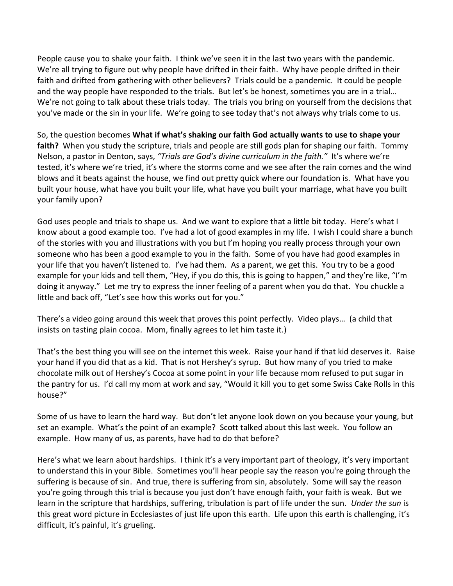People cause you to shake your faith. I think we've seen it in the last two years with the pandemic. We're all trying to figure out why people have drifted in their faith. Why have people drifted in their faith and drifted from gathering with other believers? Trials could be a pandemic. It could be people and the way people have responded to the trials. But let's be honest, sometimes you are in a trial… We're not going to talk about these trials today. The trials you bring on yourself from the decisions that you've made or the sin in your life. We're going to see today that's not always why trials come to us.

So, the question becomes **What if what's shaking our faith God actually wants to use to shape your faith?** When you study the scripture, trials and people are still gods plan for shaping our faith. Tommy Nelson, a pastor in Denton, says, *"Trials are God's divine curriculum in the faith."* It's where we're tested, it's where we're tried, it's where the storms come and we see after the rain comes and the wind blows and it beats against the house, we find out pretty quick where our foundation is. What have you built your house, what have you built your life, what have you built your marriage, what have you built your family upon?

God uses people and trials to shape us. And we want to explore that a little bit today. Here's what I know about a good example too. I've had a lot of good examples in my life. I wish I could share a bunch of the stories with you and illustrations with you but I'm hoping you really process through your own someone who has been a good example to you in the faith. Some of you have had good examples in your life that you haven't listened to. I've had them. As a parent, we get this. You try to be a good example for your kids and tell them, "Hey, if you do this, this is going to happen," and they're like, "I'm doing it anyway." Let me try to express the inner feeling of a parent when you do that. You chuckle a little and back off, "Let's see how this works out for you."

There's a video going around this week that proves this point perfectly. Video plays… (a child that insists on tasting plain cocoa. Mom, finally agrees to let him taste it.)

That's the best thing you will see on the internet this week. Raise your hand if that kid deserves it. Raise your hand if you did that as a kid. That is not Hershey's syrup. But how many of you tried to make chocolate milk out of Hershey's Cocoa at some point in your life because mom refused to put sugar in the pantry for us. I'd call my mom at work and say, "Would it kill you to get some Swiss Cake Rolls in this house?"

Some of us have to learn the hard way. But don't let anyone look down on you because your young, but set an example. What's the point of an example? Scott talked about this last week. You follow an example. How many of us, as parents, have had to do that before?

Here's what we learn about hardships. I think it's a very important part of theology, it's very important to understand this in your Bible. Sometimes you'll hear people say the reason you're going through the suffering is because of sin. And true, there is suffering from sin, absolutely. Some will say the reason you're going through this trial is because you just don't have enough faith, your faith is weak. But we learn in the scripture that hardships, suffering, tribulation is part of life under the sun. *Under the sun* is this great word picture in Ecclesiastes of just life upon this earth. Life upon this earth is challenging, it's difficult, it's painful, it's grueling.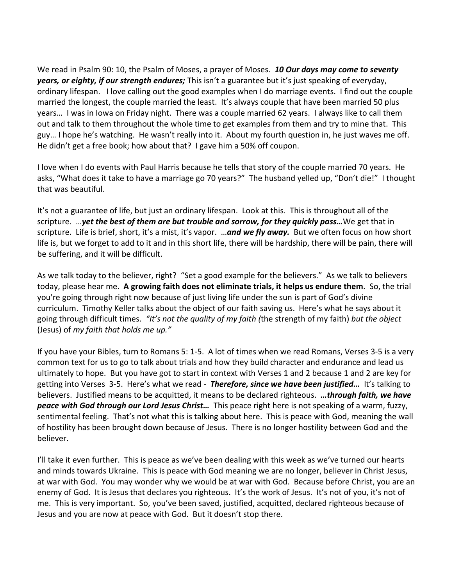We read in Psalm 90: 10, the Psalm of Moses, a prayer of Moses. *10 Our days may come to seventy years, or eighty, if our strength endures;* This isn't a guarantee but it's just speaking of everyday, ordinary lifespan. I love calling out the good examples when I do marriage events. I find out the couple married the longest, the couple married the least. It's always couple that have been married 50 plus years… I was in Iowa on Friday night. There was a couple married 62 years. I always like to call them out and talk to them throughout the whole time to get examples from them and try to mine that. This guy… I hope he's watching. He wasn't really into it. About my fourth question in, he just waves me off. He didn't get a free book; how about that? I gave him a 50% off coupon.

I love when I do events with Paul Harris because he tells that story of the couple married 70 years. He asks, "What does it take to have a marriage go 70 years?" The husband yelled up, "Don't die!" I thought that was beautiful.

It's not a guarantee of life, but just an ordinary lifespan. Look at this. This is throughout all of the scripture. …*yet the best of them are but trouble and sorrow, for they quickly pass…*We get that in scripture. Life is brief, short, it's a mist, it's vapor. …*and we fly away.* But we often focus on how short life is, but we forget to add to it and in this short life, there will be hardship, there will be pain, there will be suffering, and it will be difficult.

As we talk today to the believer, right? "Set a good example for the believers." As we talk to believers today, please hear me. **A growing faith does not eliminate trials, it helps us endure them**. So, the trial you're going through right now because of just living life under the sun is part of God's divine curriculum. Timothy Keller talks about the object of our faith saving us. Here's what he says about it going through difficult times. *"It's not the quality of my faith (*the strength of my faith) *but the object* (Jesus) of *my faith that holds me up."*

If you have your Bibles, turn to Romans 5: 1-5. A lot of times when we read Romans, Verses 3-5 is a very common text for us to go to talk about trials and how they build character and endurance and lead us ultimately to hope. But you have got to start in context with Verses 1 and 2 because 1 and 2 are key for getting into Verses 3-5. Here's what we read - *Therefore, since we have been justified…* It's talking to believers. Justified means to be acquitted, it means to be declared righteous. *…through faith, we have peace with God through our Lord Jesus Christ…* This peace right here is not speaking of a warm, fuzzy, sentimental feeling. That's not what this is talking about here. This is peace with God, meaning the wall of hostility has been brought down because of Jesus. There is no longer hostility between God and the believer.

I'll take it even further. This is peace as we've been dealing with this week as we've turned our hearts and minds towards Ukraine. This is peace with God meaning we are no longer, believer in Christ Jesus, at war with God. You may wonder why we would be at war with God. Because before Christ, you are an enemy of God. It is Jesus that declares you righteous. It's the work of Jesus. It's not of you, it's not of me. This is very important. So, you've been saved, justified, acquitted, declared righteous because of Jesus and you are now at peace with God. But it doesn't stop there.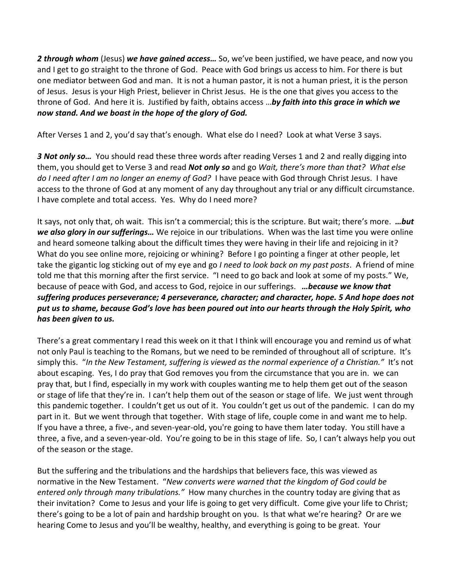*2 through whom* (Jesus) *we have gained access…* So, we've been justified, we have peace, and now you and I get to go straight to the throne of God. Peace with God brings us access to him. For there is but one mediator between God and man. It is not a human pastor, it is not a human priest, it is the person of Jesus. Jesus is your High Priest, believer in Christ Jesus. He is the one that gives you access to the throne of God. And here it is. Justified by faith, obtains access …*by faith into this grace in which we now stand. And we boast in the hope of the glory of God.*

After Verses 1 and 2, you'd say that's enough. What else do I need? Look at what Verse 3 says.

*3 Not only so…* You should read these three words after reading Verses 1 and 2 and really digging into them, you should get to Verse 3 and read *Not only so* and go *Wait, there's more than that? What else do I need after I am no longer an enemy of God?* I have peace with God through Christ Jesus. I have access to the throne of God at any moment of any day throughout any trial or any difficult circumstance. I have complete and total access. Yes. Why do I need more?

It says, not only that, oh wait. This isn't a commercial; this is the scripture. But wait; there's more. *…but we also glory in our sufferings…* We rejoice in our tribulations. When was the last time you were online and heard someone talking about the difficult times they were having in their life and rejoicing in it? What do you see online more, rejoicing or whining? Before I go pointing a finger at other people, let take the gigantic log sticking out of my eye and go *I need to look back on my past posts*. A friend of mine told me that this morning after the first service. "I need to go back and look at some of my posts." We, because of peace with God, and access to God, rejoice in our sufferings. *…because we know that suffering produces perseverance; 4 perseverance, character; and character, hope. 5 And hope does not put us to shame, because God's love has been poured out into our hearts through the Holy Spirit, who has been given to us.*

There's a great commentary I read this week on it that I think will encourage you and remind us of what not only Paul is teaching to the Romans, but we need to be reminded of throughout all of scripture. It's simply this. "*In the New Testament, suffering is viewed as the normal experience of a Christian."* It's not about escaping. Yes, I do pray that God removes you from the circumstance that you are in. we can pray that, but I find, especially in my work with couples wanting me to help them get out of the season or stage of life that they're in. I can't help them out of the season or stage of life. We just went through this pandemic together. I couldn't get us out of it. You couldn't get us out of the pandemic. I can do my part in it. But we went through that together. With stage of life, couple come in and want me to help. If you have a three, a five-, and seven-year-old, you're going to have them later today. You still have a three, a five, and a seven-year-old. You're going to be in this stage of life. So, I can't always help you out of the season or the stage.

But the suffering and the tribulations and the hardships that believers face, this was viewed as normative in the New Testament. "*New converts were warned that the kingdom of God could be entered only through many tribulations."* How many churches in the country today are giving that as their invitation? Come to Jesus and your life is going to get very difficult. Come give your life to Christ; there's going to be a lot of pain and hardship brought on you. Is that what we're hearing? Or are we hearing Come to Jesus and you'll be wealthy, healthy, and everything is going to be great. Your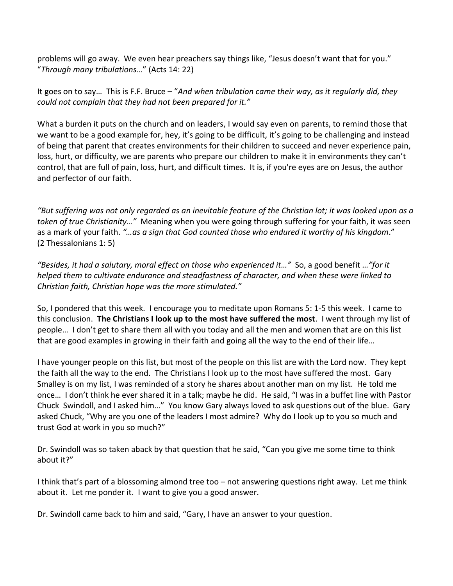problems will go away. We even hear preachers say things like, "Jesus doesn't want that for you." "*Through many tribulations*…" (Acts 14: 22)

It goes on to say… This is F.F. Bruce – "*And when tribulation came their way, as it regularly did, they could not complain that they had not been prepared for it."*

What a burden it puts on the church and on leaders, I would say even on parents, to remind those that we want to be a good example for, hey, it's going to be difficult, it's going to be challenging and instead of being that parent that creates environments for their children to succeed and never experience pain, loss, hurt, or difficulty, we are parents who prepare our children to make it in environments they can't control, that are full of pain, loss, hurt, and difficult times. It is, if you're eyes are on Jesus, the author and perfector of our faith.

*"But suffering was not only regarded as an inevitable feature of the Christian lot; it was looked upon as a token of true Christianity…"*Meaning when you were going through suffering for your faith, it was seen as a mark of your faith. *"…as a sign that God counted those who endured it worthy of his kingdom*." (2 Thessalonians 1: 5)

*"Besides, it had a salutary, moral effect on those who experienced it…"* So, a good benefit *…"for it helped them to cultivate endurance and steadfastness of character, and when these were linked to Christian faith, Christian hope was the more stimulated."*

So, I pondered that this week. I encourage you to meditate upon Romans 5: 1-5 this week. I came to this conclusion. **The Christians I look up to the most have suffered the most**. I went through my list of people… I don't get to share them all with you today and all the men and women that are on this list that are good examples in growing in their faith and going all the way to the end of their life…

I have younger people on this list, but most of the people on this list are with the Lord now. They kept the faith all the way to the end. The Christians I look up to the most have suffered the most. Gary Smalley is on my list, I was reminded of a story he shares about another man on my list. He told me once… I don't think he ever shared it in a talk; maybe he did. He said, "I was in a buffet line with Pastor Chuck Swindoll, and I asked him…" You know Gary always loved to ask questions out of the blue. Gary asked Chuck, "Why are you one of the leaders I most admire? Why do I look up to you so much and trust God at work in you so much?"

Dr. Swindoll was so taken aback by that question that he said, "Can you give me some time to think about it?"

I think that's part of a blossoming almond tree too – not answering questions right away. Let me think about it. Let me ponder it. I want to give you a good answer.

Dr. Swindoll came back to him and said, "Gary, I have an answer to your question.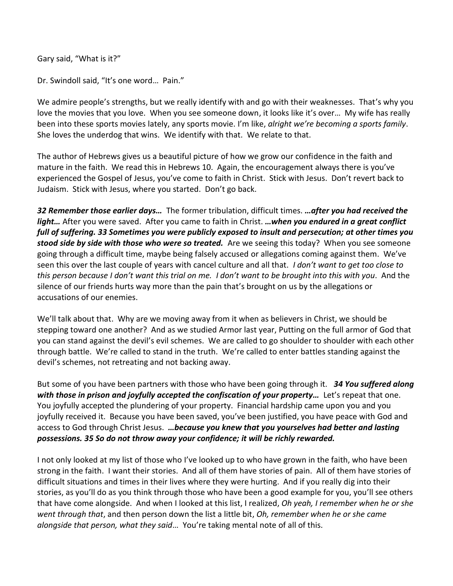Gary said, "What is it?"

Dr. Swindoll said, "It's one word… Pain."

We admire people's strengths, but we really identify with and go with their weaknesses. That's why you love the movies that you love. When you see someone down, it looks like it's over… My wife has really been into these sports movies lately, any sports movie. I'm like, *alright we're becoming a sports family*. She loves the underdog that wins. We identify with that. We relate to that.

The author of Hebrews gives us a beautiful picture of how we grow our confidence in the faith and mature in the faith. We read this in Hebrews 10. Again, the encouragement always there is you've experienced the Gospel of Jesus, you've come to faith in Christ. Stick with Jesus. Don't revert back to Judaism. Stick with Jesus, where you started. Don't go back.

*32 Remember those earlier days…* The former tribulation, difficult times. *…after you had received the light…* After you were saved. After you came to faith in Christ. *…when you endured in a great conflict full of suffering. 33 Sometimes you were publicly exposed to insult and persecution; at other times you stood side by side with those who were so treated.* Are we seeing this today? When you see someone going through a difficult time, maybe being falsely accused or allegations coming against them. We've seen this over the last couple of years with cancel culture and all that. *I don't want to get too close to this person because I don't want this trial on me. I don't want to be brought into this with you*. And the silence of our friends hurts way more than the pain that's brought on us by the allegations or accusations of our enemies.

We'll talk about that. Why are we moving away from it when as believers in Christ, we should be stepping toward one another? And as we studied Armor last year, Putting on the full armor of God that you can stand against the devil's evil schemes. We are called to go shoulder to shoulder with each other through battle. We're called to stand in the truth. We're called to enter battles standing against the devil's schemes, not retreating and not backing away.

But some of you have been partners with those who have been going through it. *34 You suffered along with those in prison and joyfully accepted the confiscation of your property…* Let's repeat that one. You joyfully accepted the plundering of your property. Financial hardship came upon you and you joyfully received it. Because you have been saved, you've been justified, you have peace with God and access to God through Christ Jesus. *…because you knew that you yourselves had better and lasting possessions. 35 So do not throw away your confidence; it will be richly rewarded.* 

I not only looked at my list of those who I've looked up to who have grown in the faith, who have been strong in the faith. I want their stories. And all of them have stories of pain. All of them have stories of difficult situations and times in their lives where they were hurting. And if you really dig into their stories, as you'll do as you think through those who have been a good example for you, you'll see others that have come alongside. And when I looked at this list, I realized, *Oh yeah, I remember when he or she went through that*, and then person down the list a little bit, *Oh, remember when he or she came alongside that person, what they said*… You're taking mental note of all of this.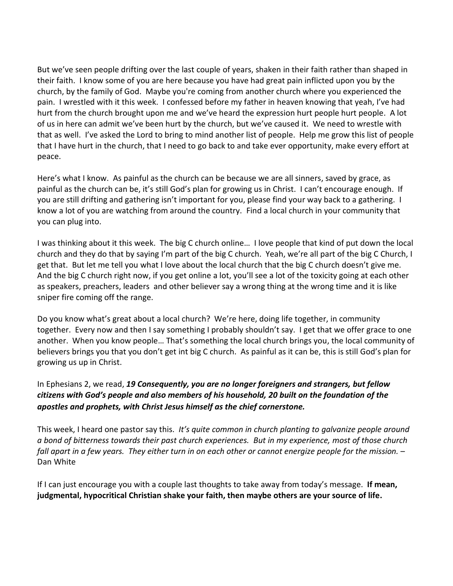But we've seen people drifting over the last couple of years, shaken in their faith rather than shaped in their faith. I know some of you are here because you have had great pain inflicted upon you by the church, by the family of God. Maybe you're coming from another church where you experienced the pain. I wrestled with it this week. I confessed before my father in heaven knowing that yeah, I've had hurt from the church brought upon me and we've heard the expression hurt people hurt people. A lot of us in here can admit we've been hurt by the church, but we've caused it. We need to wrestle with that as well. I've asked the Lord to bring to mind another list of people. Help me grow this list of people that I have hurt in the church, that I need to go back to and take ever opportunity, make every effort at peace.

Here's what I know. As painful as the church can be because we are all sinners, saved by grace, as painful as the church can be, it's still God's plan for growing us in Christ. I can't encourage enough. If you are still drifting and gathering isn't important for you, please find your way back to a gathering. I know a lot of you are watching from around the country. Find a local church in your community that you can plug into.

I was thinking about it this week. The big C church online… I love people that kind of put down the local church and they do that by saying I'm part of the big C church. Yeah, we're all part of the big C Church, I get that. But let me tell you what I love about the local church that the big C church doesn't give me. And the big C church right now, if you get online a lot, you'll see a lot of the toxicity going at each other as speakers, preachers, leaders and other believer say a wrong thing at the wrong time and it is like sniper fire coming off the range.

Do you know what's great about a local church? We're here, doing life together, in community together. Every now and then I say something I probably shouldn't say. I get that we offer grace to one another. When you know people… That's something the local church brings you, the local community of believers brings you that you don't get int big C church. As painful as it can be, this is still God's plan for growing us up in Christ.

In Ephesians 2, we read, *19 Consequently, you are no longer foreigners and strangers, but fellow citizens with God's people and also members of his household, 20 built on the foundation of the apostles and prophets, with Christ Jesus himself as the chief cornerstone.*

This week, I heard one pastor say this. *It's quite common in church planting to galvanize people around a bond of bitterness towards their past church experiences. But in my experience, most of those church fall apart in a few years. They either turn in on each other or cannot energize people for the mission.* – Dan White

If I can just encourage you with a couple last thoughts to take away from today's message. **If mean, judgmental, hypocritical Christian shake your faith, then maybe others are your source of life.**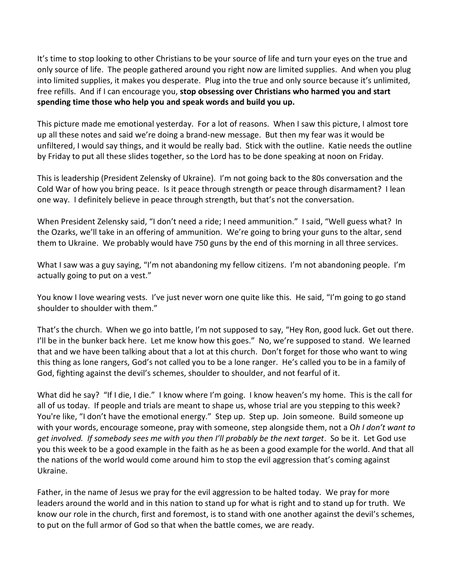It's time to stop looking to other Christians to be your source of life and turn your eyes on the true and only source of life. The people gathered around you right now are limited supplies. And when you plug into limited supplies, it makes you desperate. Plug into the true and only source because it's unlimited, free refills. And if I can encourage you, **stop obsessing over Christians who harmed you and start spending time those who help you and speak words and build you up.**

This picture made me emotional yesterday. For a lot of reasons. When I saw this picture, I almost tore up all these notes and said we're doing a brand-new message. But then my fear was it would be unfiltered, I would say things, and it would be really bad. Stick with the outline. Katie needs the outline by Friday to put all these slides together, so the Lord has to be done speaking at noon on Friday.

This is leadership (President Zelensky of Ukraine). I'm not going back to the 80s conversation and the Cold War of how you bring peace. Is it peace through strength or peace through disarmament? I lean one way. I definitely believe in peace through strength, but that's not the conversation.

When President Zelensky said, "I don't need a ride; I need ammunition." I said, "Well guess what? In the Ozarks, we'll take in an offering of ammunition. We're going to bring your guns to the altar, send them to Ukraine. We probably would have 750 guns by the end of this morning in all three services.

What I saw was a guy saying, "I'm not abandoning my fellow citizens. I'm not abandoning people. I'm actually going to put on a vest."

You know I love wearing vests. I've just never worn one quite like this. He said, "I'm going to go stand shoulder to shoulder with them."

That's the church. When we go into battle, I'm not supposed to say, "Hey Ron, good luck. Get out there. I'll be in the bunker back here. Let me know how this goes." No, we're supposed to stand. We learned that and we have been talking about that a lot at this church. Don't forget for those who want to wing this thing as lone rangers, God's not called you to be a lone ranger. He's called you to be in a family of God, fighting against the devil's schemes, shoulder to shoulder, and not fearful of it.

What did he say? "If I die, I die." I know where I'm going. I know heaven's my home. This is the call for all of us today. If people and trials are meant to shape us, whose trial are you stepping to this week? You're like, "I don't have the emotional energy." Step up. Step up. Join someone. Build someone up with your words, encourage someone, pray with someone, step alongside them, not a O*h I don't want to get involved. If somebody sees me with you then I'll probably be the next target*. So be it. Let God use you this week to be a good example in the faith as he as been a good example for the world. And that all the nations of the world would come around him to stop the evil aggression that's coming against Ukraine.

Father, in the name of Jesus we pray for the evil aggression to be halted today. We pray for more leaders around the world and in this nation to stand up for what is right and to stand up for truth. We know our role in the church, first and foremost, is to stand with one another against the devil's schemes, to put on the full armor of God so that when the battle comes, we are ready.